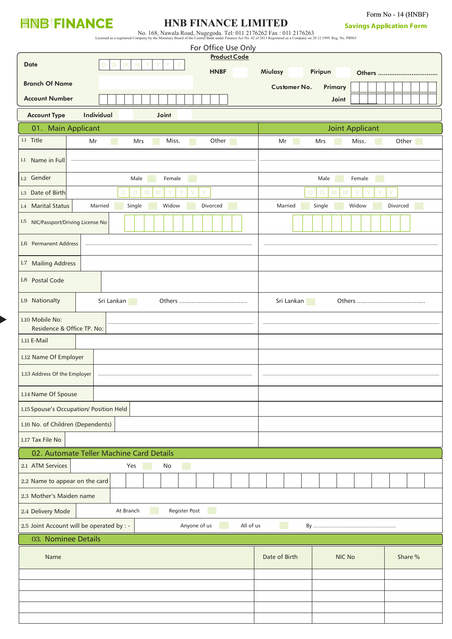## **HNB FINANCE**

## **HNB FINANCE LIMITED**

Form No - 14 (HNBF)

| No. 168, Nawala Road, Nugegoda. Tel: 011 2176262 Fax : 011 2176263                                                                                                |  |
|-------------------------------------------------------------------------------------------------------------------------------------------------------------------|--|
| Licensed as a registered Company by the Monetary Board of the Central Bank under Finance Act No. 42 of 2011 Registered as a Company on 20.12.1999. Reg. No. PB965 |  |

| For Office Use Only                                                       |                                               |  |  |  |
|---------------------------------------------------------------------------|-----------------------------------------------|--|--|--|
| <b>Product Code</b><br><b>Date</b>                                        |                                               |  |  |  |
| <b>HNBF</b>                                                               | Miulasy<br>Piripun<br>Others                  |  |  |  |
| <b>Branch Of Name</b>                                                     | <b>Customer No.</b><br>Primary                |  |  |  |
| <b>Account Number</b>                                                     | Joint                                         |  |  |  |
| Individual<br><b>Account Type</b><br>Joint                                |                                               |  |  |  |
| 01. Main Applicant                                                        | <b>Joint Applicant</b>                        |  |  |  |
| 1.1 Title<br>Other<br>Miss.<br>Mr<br>Mrs                                  | Other<br>Mr<br>Mrs<br>Miss.                   |  |  |  |
| 1.1 Name in Full                                                          |                                               |  |  |  |
| 1.2 Gender<br>Male<br>Female                                              | Male<br>Female                                |  |  |  |
| 1.3 Date of Birth                                                         | D<br>D                                        |  |  |  |
| 1.4 Marital Status<br>Married<br>Single<br>Widow<br>Divorced              | Married<br>Single<br>Widow<br><b>Divorced</b> |  |  |  |
| 1.5 NIC/Passport/Driving License No                                       |                                               |  |  |  |
| 1.6 Permanent Address                                                     |                                               |  |  |  |
| 1.7 Mailing Address                                                       |                                               |  |  |  |
| 1.8 Postal Code                                                           |                                               |  |  |  |
| 1.9 Nationalty<br>Sri Lankan<br><b>Service Service</b>                    | Sri Lankan                                    |  |  |  |
| 1.10 Mobile No:<br>Residence & Office TP. No:                             |                                               |  |  |  |
| 1.11 E-Mail                                                               |                                               |  |  |  |
| 1.12 Name Of Employer                                                     |                                               |  |  |  |
| 1.13 Address Of the Employer                                              |                                               |  |  |  |
| 1.14 Name Of Spouse                                                       |                                               |  |  |  |
| 1.15 Spouse's Occupation/ Position Held                                   |                                               |  |  |  |
| 1.16 No. of Children (Dependents)                                         |                                               |  |  |  |
| 1.17 Tax File No                                                          |                                               |  |  |  |
| 02. Automate Teller Machine Card Details                                  |                                               |  |  |  |
| 2.1 ATM Services<br>Yes<br>No<br><b>CONTRACTOR</b>                        |                                               |  |  |  |
| 2.2 Name to appear on the card                                            |                                               |  |  |  |
| 2.3 Mother's Maiden name                                                  |                                               |  |  |  |
| Register Post<br>At Branch<br>2.4 Delivery Mode<br><b>Service Service</b> |                                               |  |  |  |
| 2.5 Joint Account will be operated by : -<br>Anyone of us                 | All of us<br>$By$                             |  |  |  |
| 03. Nominee Details                                                       |                                               |  |  |  |
| Name                                                                      | Date of Birth<br><b>NIC No</b><br>Share %     |  |  |  |
|                                                                           |                                               |  |  |  |
|                                                                           |                                               |  |  |  |
|                                                                           |                                               |  |  |  |
|                                                                           |                                               |  |  |  |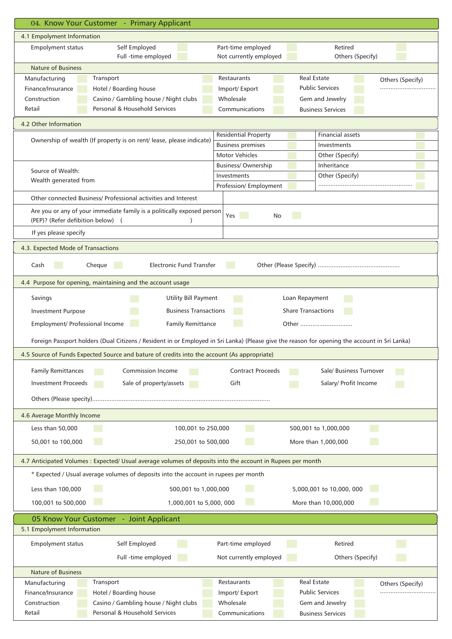| 04. Know Your Customer - Primary Applicant                                                                 |                                                                                                                                               |
|------------------------------------------------------------------------------------------------------------|-----------------------------------------------------------------------------------------------------------------------------------------------|
| 4.1 Empolyment Information                                                                                 |                                                                                                                                               |
| Self Employed<br><b>Empolyment status</b><br>Full -time employed                                           | Part-time employed<br>Retired<br>Not currently employed                                                                                       |
| <b>Nature of Business</b>                                                                                  | Others (Specify)                                                                                                                              |
| Transport<br>Manufacturing                                                                                 | Restaurants<br><b>Real Estate</b><br>Others (Specify)                                                                                         |
| Finance/Insurance<br>Hotel / Boarding house                                                                | <b>Public Services</b><br>Import/Export                                                                                                       |
| Casino / Gambling house / Night clubs<br>Construction                                                      | Wholesale<br>Gem and Jewelry                                                                                                                  |
| Personal & Household Services<br>Retail                                                                    | Communications<br><b>Business Services</b>                                                                                                    |
| 4.2 Other Information                                                                                      |                                                                                                                                               |
|                                                                                                            | <b>Residential Property</b><br><b>Financial assets</b>                                                                                        |
| Ownership of wealth (If property is on rent/ lease, please indicate)                                       | <b>Business premises</b><br>Investments                                                                                                       |
|                                                                                                            | <b>Motor Vehicles</b><br>Other (Specify)                                                                                                      |
|                                                                                                            | Inheritance<br><b>Business/Ownership</b>                                                                                                      |
| Source of Wealth:                                                                                          | Investments<br>Other (Specify)                                                                                                                |
| Wealth generated from                                                                                      |                                                                                                                                               |
|                                                                                                            | Profession/ Employment                                                                                                                        |
| Other connected Business/ Professional activities and Interest                                             |                                                                                                                                               |
| Are you or any of your immediate family is a politically exposed person                                    | Yes<br><b>Service Service</b><br>No                                                                                                           |
| (PEP)? (Refer defibition below) (                                                                          |                                                                                                                                               |
| If yes please specify                                                                                      |                                                                                                                                               |
| 4.3. Expected Mode of Transactions                                                                         |                                                                                                                                               |
|                                                                                                            |                                                                                                                                               |
| <b>Electronic Fund Transfer</b><br>Cash<br>Cheque                                                          |                                                                                                                                               |
| 4.4 Purpose for opening, maintaining and the account usage                                                 |                                                                                                                                               |
| Savings<br><b>Utility Bill Payment</b>                                                                     | Loan Repayment                                                                                                                                |
|                                                                                                            | <b>Share Transactions</b>                                                                                                                     |
| <b>Business Transactions</b><br><b>Investment Purpose</b>                                                  |                                                                                                                                               |
| Employment/ Professional Income<br><b>Family Remittance</b>                                                | Other                                                                                                                                         |
|                                                                                                            | Foreign Passport holders (Dual Citizens / Resident in or Employed in Sri Lanka) (Please give the reason for opening the account in Sri Lanka) |
| 4.5 Source of Funds Expected Source and bature of credits into the account (As appropriate)                |                                                                                                                                               |
| <b>Commission Income</b>                                                                                   | <b>Contract Proceeds</b><br>Sale/ Business Turnover                                                                                           |
| <b>Family Remittances</b>                                                                                  |                                                                                                                                               |
| <b>Investment Proceeds</b><br>Sale of property/assets                                                      | Gift<br>Salary/ Profit Income                                                                                                                 |
|                                                                                                            |                                                                                                                                               |
|                                                                                                            |                                                                                                                                               |
| 4.6 Average Monthly Income<br>Less than 50,000<br>100,001 to 250,000                                       | 500,001 to 1,000,000                                                                                                                          |
|                                                                                                            |                                                                                                                                               |
| 50,001 to 100,000<br>250,001 to 500,000                                                                    | More than 1,000,000                                                                                                                           |
| 4.7 Anticipated Volumes : Expected/ Usual average volumes of deposits into the account in Rupees per month |                                                                                                                                               |
| * Expected / Usual average volumes of deposits into the account in rupees per month                        |                                                                                                                                               |
| Less than 100,000<br>500,001 to 1,000,000                                                                  | 5,000,001 to 10,000, 000                                                                                                                      |
| 100,001 to 500,000<br>1,000,001 to 5,000, 000                                                              | More than 10,000,000                                                                                                                          |
| 05 Know Your Customer - Joint Applicant                                                                    |                                                                                                                                               |
| 5.1 Empolyment Information                                                                                 |                                                                                                                                               |
| Empolyment status<br>Self Employed                                                                         | Part-time employed<br>Retired                                                                                                                 |
|                                                                                                            | Not currently employed<br>Others (Specify)                                                                                                    |
|                                                                                                            |                                                                                                                                               |
| Full -time employed                                                                                        |                                                                                                                                               |
| <b>Nature of Business</b>                                                                                  |                                                                                                                                               |
| Transport<br>Manufacturing                                                                                 | <b>Real Estate</b><br>Restaurants<br>Others (Specify)                                                                                         |
| Finance/Insurance<br>Hotel / Boarding house                                                                | <b>Public Services</b><br>Import/ Export                                                                                                      |
| Casino / Gambling house / Night clubs<br>Construction<br>Personal & Household Services                     | Wholesale<br>Gem and Jewelry<br><b>Business Services</b>                                                                                      |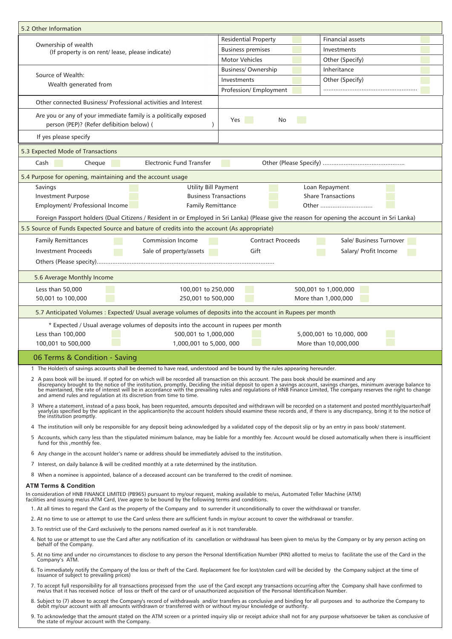| 5.2 Other Information                                                                                                                                                                                                                           |                                                                                                                                                                                                                                                                                                                                             |
|-------------------------------------------------------------------------------------------------------------------------------------------------------------------------------------------------------------------------------------------------|---------------------------------------------------------------------------------------------------------------------------------------------------------------------------------------------------------------------------------------------------------------------------------------------------------------------------------------------|
| Ownership of wealth<br>(If property is on rent/ lease, please indicate)                                                                                                                                                                         | <b>Residential Property</b><br><b>Financial assets</b>                                                                                                                                                                                                                                                                                      |
|                                                                                                                                                                                                                                                 | <b>Business premises</b><br>Investments                                                                                                                                                                                                                                                                                                     |
|                                                                                                                                                                                                                                                 | <b>Motor Vehicles</b><br>Other (Specify)                                                                                                                                                                                                                                                                                                    |
| Source of Wealth:                                                                                                                                                                                                                               | Business/Ownership<br>Inheritance                                                                                                                                                                                                                                                                                                           |
| Wealth generated from                                                                                                                                                                                                                           | Other (Specify)<br>Investments                                                                                                                                                                                                                                                                                                              |
|                                                                                                                                                                                                                                                 | Profession/ Employment                                                                                                                                                                                                                                                                                                                      |
| Other connected Business/ Professional activities and Interest                                                                                                                                                                                  |                                                                                                                                                                                                                                                                                                                                             |
| Are you or any of your immediate family is a politically exposed<br>person (PEP)? (Refer defibition below) (                                                                                                                                    | Yes<br>No                                                                                                                                                                                                                                                                                                                                   |
| If yes please specify                                                                                                                                                                                                                           |                                                                                                                                                                                                                                                                                                                                             |
| 5.3 Expected Mode of Transactions                                                                                                                                                                                                               |                                                                                                                                                                                                                                                                                                                                             |
| Cheque<br>Electronic Fund Transfer<br>Cash                                                                                                                                                                                                      |                                                                                                                                                                                                                                                                                                                                             |
| 5.4 Purpose for opening, maintaining and the account usage                                                                                                                                                                                      |                                                                                                                                                                                                                                                                                                                                             |
| <b>Utility Bill Payment</b><br>Savings                                                                                                                                                                                                          | Loan Repayment                                                                                                                                                                                                                                                                                                                              |
| <b>Investment Purpose</b><br><b>Business Transactions</b>                                                                                                                                                                                       | <b>Share Transactions</b>                                                                                                                                                                                                                                                                                                                   |
| Employment/ Professional Income<br><b>Family Remittance</b>                                                                                                                                                                                     | Other                                                                                                                                                                                                                                                                                                                                       |
|                                                                                                                                                                                                                                                 | Foreign Passport holders (Dual Citizens / Resident in or Employed in Sri Lanka) (Please give the reason for opening the account in Sri Lanka)                                                                                                                                                                                               |
| 5.5 Source of Funds Expected Source and bature of credits into the account (As appropriate)                                                                                                                                                     |                                                                                                                                                                                                                                                                                                                                             |
| <b>Commission Income</b><br><b>Family Remittances</b>                                                                                                                                                                                           | <b>Contract Proceeds</b><br>Sale/ Business Turnover                                                                                                                                                                                                                                                                                         |
| <b>Investment Proceeds</b><br>Sale of property/assets                                                                                                                                                                                           | Gift<br>Salary/ Profit Income                                                                                                                                                                                                                                                                                                               |
|                                                                                                                                                                                                                                                 |                                                                                                                                                                                                                                                                                                                                             |
| 5.6 Average Monthly Income                                                                                                                                                                                                                      |                                                                                                                                                                                                                                                                                                                                             |
| Less than 50,000<br>100,001 to 250,000<br>50,001 to 100,000<br>250,001 to 500,000                                                                                                                                                               | 500,001 to 1,000,000<br>More than 1,000,000                                                                                                                                                                                                                                                                                                 |
| 5.7 Anticipated Volumes : Expected/ Usual average volumes of deposits into the account in Rupees per month                                                                                                                                      |                                                                                                                                                                                                                                                                                                                                             |
| * Expected / Usual average volumes of deposits into the account in rupees per month                                                                                                                                                             |                                                                                                                                                                                                                                                                                                                                             |
| Less than 100,000<br>500,001 to 1,000,000                                                                                                                                                                                                       | 5,000,001 to 10,000, 000                                                                                                                                                                                                                                                                                                                    |
| 100,001 to 500,000<br>1,000,001 to 5,000, 000                                                                                                                                                                                                   | More than 10,000,000                                                                                                                                                                                                                                                                                                                        |
| 06 Terms & Condition - Saving                                                                                                                                                                                                                   |                                                                                                                                                                                                                                                                                                                                             |
| 1 The Holder/s of savings accounts shall be deemed to have read, understood and be bound by the rules appearing hereunder.                                                                                                                      |                                                                                                                                                                                                                                                                                                                                             |
| 2 A pass book will be issued. If opted for on which will be recorded all transaction on this account. The pass book should be examined and any<br>and amend rules and regulation at its discretion from time to time.                           | discrepancy brought to the notice of the institution, promptly, Deciding the initial deposit to open a savings account, savings charges, minimum average balance to<br>be maintained, the rate of interest will be in accordance with the prevailing rules and regulations of HNB Finance Limited, The company reserves the right to change |
| the institution promptly.                                                                                                                                                                                                                       | 3 Where a statement, instead of a pass book, has been requested, amounts deposited and withdrawn will be recorded on a statement and posted monthly/quarter/half<br>yearly(as specified by the applicant in the applicantion)to t                                                                                                           |
|                                                                                                                                                                                                                                                 | 4 The institution will only be responsible for any deposit being acknowledged by a validated copy of the deposit slip or by an entry in pass book/ statement.                                                                                                                                                                               |
| fund for this , monthly fee.                                                                                                                                                                                                                    | 5 Accounts, which carry less than the stipulated minimum balance, may be liable for a monthly fee. Account would be closed automatically when there is insufficient                                                                                                                                                                         |
| 6 Any change in the account holder's name or address should be immediately advised to the institution.                                                                                                                                          |                                                                                                                                                                                                                                                                                                                                             |
| 7 Interest, on daily balance & will be credited monthly at a rate determined by the institution.                                                                                                                                                |                                                                                                                                                                                                                                                                                                                                             |
| 8 When a nominee is appointed, balance of a deceased account can be transferred to the credit of nominee.                                                                                                                                       |                                                                                                                                                                                                                                                                                                                                             |
| <b>ATM Terms &amp; Condition</b><br>In consideration of HNB FINANCE LIMITED (PB965) pursuant to my/our request, making available to me/us, Automated Teller Machine (ATM)                                                                       |                                                                                                                                                                                                                                                                                                                                             |
| facilities and issuing me/us ATM Card, I/we agree to be bound by the following terms and conditions.                                                                                                                                            |                                                                                                                                                                                                                                                                                                                                             |
| 1. At all times to regard the Card as the property of the Company and to surrender it unconditionally to cover the withdrawal or transfer.                                                                                                      |                                                                                                                                                                                                                                                                                                                                             |
| 2. At no time to use or attempt to use the Card unless there are sufficient funds in my/our account to cover the withdrawal or transfer.<br>3. To restrict use of the Card exclusively to the persons named overleaf as it is not transferable. |                                                                                                                                                                                                                                                                                                                                             |
|                                                                                                                                                                                                                                                 | 4. Not to use or attempt to use the Card after any notification of its cancellation or withdrawal has been given to me/us by the Company or by any person acting on                                                                                                                                                                         |
| behalf of the Company.                                                                                                                                                                                                                          | 5. At no time and under no circumstances to disclose to any person the Personal Identification Number (PIN) allotted to me/us to facilitate the use of the Card in the                                                                                                                                                                      |
| Company's ATM.                                                                                                                                                                                                                                  | 6. To immediately notify the Company of the loss or theft of the Card. Replacement fee for lost/stolen card will be decided by the Company subject at the time of                                                                                                                                                                           |
| issuance of subject to prevailing prices)                                                                                                                                                                                                       | 7. To accept full responsibility for all transactions processed from the use of the Card except any transactions occurring after the Company shall have confirmed to me/us that it has received notice of loss or theft of the                                                                                                              |
|                                                                                                                                                                                                                                                 | 8. Subject to (7) above to accept the Company's record of withdrawals and/or transfers as conclusive and binding for all purposes and to authorize the Company to debit my/our account with all amounts withdrawn or transferr                                                                                                              |
| the state of my/our account with the Company.                                                                                                                                                                                                   | 9. To acknowledge that the amount stated on the ATM screen or a printed inquiry slip or receipt advice shall not for any purpose whatsoever be taken as conclusive of                                                                                                                                                                       |